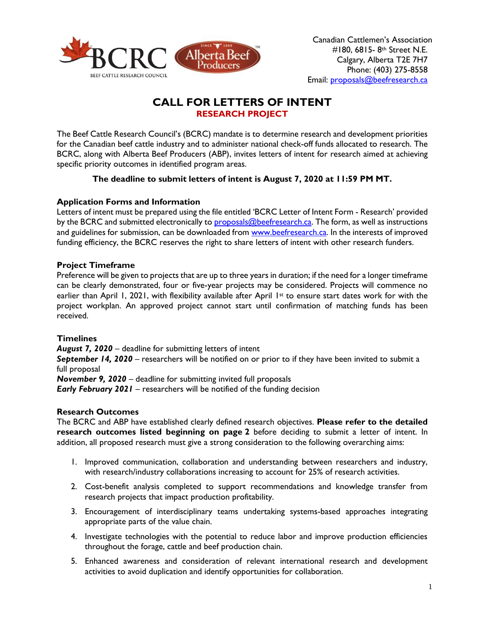

# **CALL FOR LETTERS OF INTENT RESEARCH PROJECT**

The Beef Cattle Research Council's (BCRC) mandate is to determine research and development priorities for the Canadian beef cattle industry and to administer national check-off funds allocated to research. The BCRC, along with Alberta Beef Producers (ABP), invites letters of intent for research aimed at achieving specific priority outcomes in identified program areas.

## **The deadline to submit letters of intent is August 7, 2020 at 11:59 PM MT.**

## **Application Forms and Information**

Letters of intent must be prepared using the file entitled 'BCRC Letter of Intent Form - Research' provided by the BCRC and submitted electronically t[o proposals@beefresearch.ca.](mailto:proposals@beefresearch.ca) The form, as well as instructions and guidelines for submission, can be downloaded fro[m www.beefresearch.ca.](http://www.beefresearch.ca/) In the interests of improved funding efficiency, the BCRC reserves the right to share letters of intent with other research funders.

### **Project Timeframe**

Preference will be given to projects that are up to three years in duration; if the need for a longer timeframe can be clearly demonstrated, four or five-year projects may be considered. Projects will commence no earlier than April 1, 2021, with flexibility available after April 1<sup>st</sup> to ensure start dates work for with the project workplan. An approved project cannot start until confirmation of matching funds has been received.

### **Timelines**

*August 7, 2020* – deadline for submitting letters of intent **September 14, 2020** – researchers will be notified on or prior to if they have been invited to submit a full proposal *November 9, 2020* – deadline for submitting invited full proposals

*Early February 2021* – researchers will be notified of the funding decision

### **Research Outcomes**

The BCRC and ABP have established clearly defined research objectives. **Please refer to the detailed research outcomes listed beginning on page 2** before deciding to submit a letter of intent. In addition, all proposed research must give a strong consideration to the following overarching aims:

- 1. Improved communication, collaboration and understanding between researchers and industry, with research/industry collaborations increasing to account for 25% of research activities.
- 2. Cost-benefit analysis completed to support recommendations and knowledge transfer from research projects that impact production profitability.
- 3. Encouragement of interdisciplinary teams undertaking systems-based approaches integrating appropriate parts of the value chain.
- 4. Investigate technologies with the potential to reduce labor and improve production efficiencies throughout the forage, cattle and beef production chain.
- 5. Enhanced awareness and consideration of relevant international research and development activities to avoid duplication and identify opportunities for collaboration.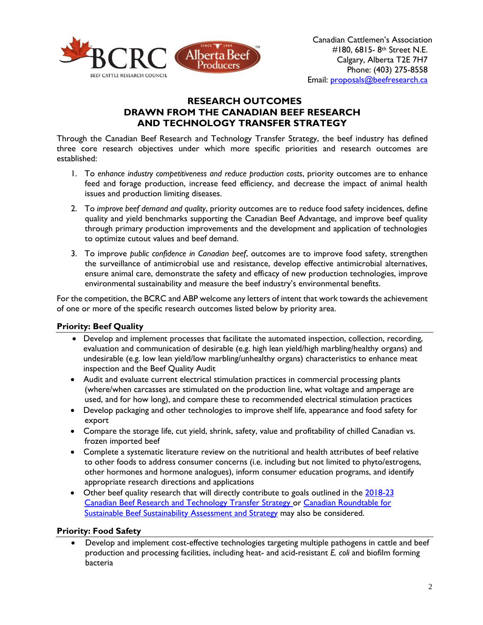

# **RESEARCH OUTCOMES DRAWN FROM THE CANADIAN BEEF RESEARCH AND TECHNOLOGY TRANSFER STRATEGY**

Through the Canadian Beef Research and Technology Transfer Strategy, the beef industry has defined three core research objectives under which more specific priorities and research outcomes are established:

- 1. To *enhance industry competitiveness and reduce production costs*, priority outcomes are to enhance feed and forage production, increase feed efficiency, and decrease the impact of animal health issues and production limiting diseases.
- 2. To *improve beef demand and quality*, priority outcomes are to reduce food safety incidences, define quality and yield benchmarks supporting the Canadian Beef Advantage, and improve beef quality through primary production improvements and the development and application of technologies to optimize cutout values and beef demand.
- 3. To improve *public confidence in Canadian beef*, outcomes are to improve food safety, strengthen the surveillance of antimicrobial use and resistance, develop effective antimicrobial alternatives, ensure animal care, demonstrate the safety and efficacy of new production technologies, improve environmental sustainability and measure the beef industry's environmental benefits.

For the competition, the BCRC and ABP welcome any letters of intent that work towards the achievement of one or more of the specific research outcomes listed below by priority area.

# **Priority: Beef Quality**

- Develop and implement processes that facilitate the automated inspection, collection, recording, evaluation and communication of desirable (e.g. high lean yield/high marbling/healthy organs) and undesirable (e.g. low lean yield/low marbling/unhealthy organs) characteristics to enhance meat inspection and the Beef Quality Audit
- Audit and evaluate current electrical stimulation practices in commercial processing plants (where/when carcasses are stimulated on the production line, what voltage and amperage are used, and for how long), and compare these to recommended electrical stimulation practices
- Develop packaging and other technologies to improve shelf life, appearance and food safety for export
- Compare the storage life, cut yield, shrink, safety, value and profitability of chilled Canadian vs. frozen imported beef
- Complete a systematic literature review on the nutritional and health attributes of beef relative to other foods to address consumer concerns (i.e. including but not limited to phyto/estrogens, other hormones and hormone analogues), inform consumer education programs, and identify appropriate research directions and applications
- Other beef quality research that will directly contribute to goals outlined in the 2018-23 [Canadian Beef Research and Technology Transfer Strategy](http://www.beefresearch.ca/files/pdf/Canadian_Beef_Research_and_Technology_Transfer_Strategy_2018-2023_Jan16-17.pdf) or [Canadian Roundtable for](https://crsb.ca/sustainability-benchmark/sustainability-assessment-and-strategy/)  [Sustainable Beef Sustainability Assessment and Strategy](https://crsb.ca/sustainability-benchmark/sustainability-assessment-and-strategy/) may also be considered.

### **Priority: Food Safety**

• Develop and implement cost-effective technologies targeting multiple pathogens in cattle and beef production and processing facilities, including heat- and acid-resistant *E. coli* and biofilm forming bacteria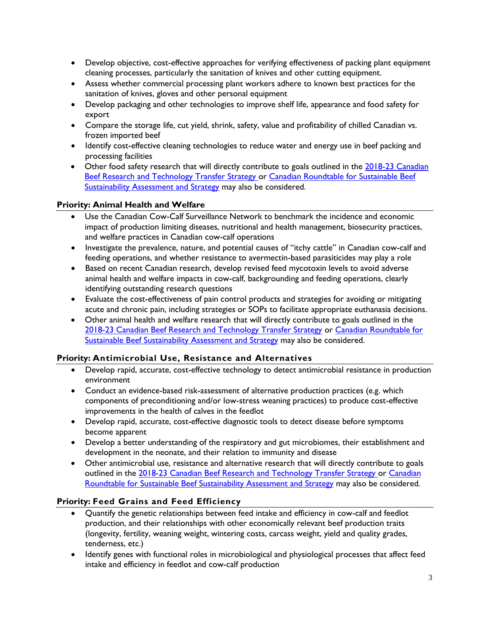- Develop objective, cost-effective approaches for verifying effectiveness of packing plant equipment cleaning processes, particularly the sanitation of knives and other cutting equipment.
- Assess whether commercial processing plant workers adhere to known best practices for the sanitation of knives, gloves and other personal equipment
- Develop packaging and other technologies to improve shelf life, appearance and food safety for export
- Compare the storage life, cut yield, shrink, safety, value and profitability of chilled Canadian vs. frozen imported beef
- Identify cost-effective cleaning technologies to reduce water and energy use in beef packing and processing facilities
- Other food safety research that will directly contribute to goals outlined in the 2018-23 Canadian [Beef Research and Technology Transfer Strategy](http://www.beefresearch.ca/files/pdf/Canadian_Beef_Research_and_Technology_Transfer_Strategy_2018-2023_Jan16-17.pdf) or [Canadian Roundtable for Sustainable Beef](https://crsb.ca/sustainability-benchmark/sustainability-assessment-and-strategy/)  [Sustainability Assessment and Strategy](https://crsb.ca/sustainability-benchmark/sustainability-assessment-and-strategy/) may also be considered.

## **Priority: Animal Health and Welfare**

- Use the Canadian Cow-Calf Surveillance Network to benchmark the incidence and economic impact of production limiting diseases, nutritional and health management, biosecurity practices, and welfare practices in Canadian cow-calf operations
- Investigate the prevalence, nature, and potential causes of "itchy cattle" in Canadian cow-calf and feeding operations, and whether resistance to avermectin-based parasiticides may play a role
- Based on recent Canadian research, develop revised feed mycotoxin levels to avoid adverse animal health and welfare impacts in cow-calf, backgrounding and feeding operations, clearly identifying outstanding research questions
- Evaluate the cost-effectiveness of pain control products and strategies for avoiding or mitigating acute and chronic pain, including strategies or SOPs to facilitate appropriate euthanasia decisions.
- Other animal health and welfare research that will directly contribute to goals outlined in the [2018-23 Canadian Beef Research and Technology Transfer Strategy](http://www.beefresearch.ca/files/pdf/Canadian_Beef_Research_and_Technology_Transfer_Strategy_2018-2023_Jan16-17.pdf) or [Canadian Roundtable for](https://crsb.ca/sustainability-benchmark/sustainability-assessment-and-strategy/)  [Sustainable Beef Sustainability Assessment and Strategy](https://crsb.ca/sustainability-benchmark/sustainability-assessment-and-strategy/) may also be considered.

### **Priority: Antimicrobial Use, Resistance and Alternatives**

- Develop rapid, accurate, cost-effective technology to detect antimicrobial resistance in production environment
- Conduct an evidence-based risk-assessment of alternative production practices (e.g. which components of preconditioning and/or low-stress weaning practices) to produce cost-effective improvements in the health of calves in the feedlot
- Develop rapid, accurate, cost-effective diagnostic tools to detect disease before symptoms become apparent
- Develop a better understanding of the respiratory and gut microbiomes, their establishment and development in the neonate, and their relation to immunity and disease
- Other antimicrobial use, resistance and alternative research that will directly contribute to goals outlined in the [2018-23 Canadian Beef Research and Technology Transfer Strategy](http://www.beefresearch.ca/files/pdf/Canadian_Beef_Research_and_Technology_Transfer_Strategy_2018-2023_Jan16-17.pdf) or Canadian [Roundtable for Sustainable Beef Sustainability Assessment and Strategy](https://crsb.ca/sustainability-benchmark/sustainability-assessment-and-strategy/) may also be considered.

# **Priority: Feed Grains and Feed Efficiency**

- Quantify the genetic relationships between feed intake and efficiency in cow-calf and feedlot production, and their relationships with other economically relevant beef production traits (longevity, fertility, weaning weight, wintering costs, carcass weight, yield and quality grades, tenderness, etc.)
- Identify genes with functional roles in microbiological and physiological processes that affect feed intake and efficiency in feedlot and cow-calf production